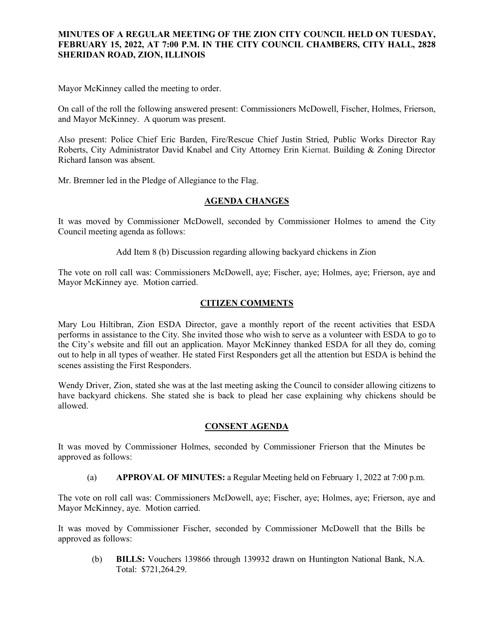## **MINUTES OF A REGULAR MEETING OF THE ZION CITY COUNCIL HELD ON TUESDAY, FEBRUARY 15, 2022, AT 7:00 P.M. IN THE CITY COUNCIL CHAMBERS, CITY HALL, 2828 SHERIDAN ROAD, ZION, ILLINOIS**

### 

Mayor McKinney called the meeting to order.

On call of the roll the following answered present: Commissioners McDowell, Fischer, Holmes, Frierson, and Mayor McKinney. A quorum was present.

Also present: Police Chief Eric Barden, Fire/Rescue Chief Justin Stried, Public Works Director Ray Roberts, City Administrator David Knabel and City Attorney Erin Kiernat. Building & Zoning Director Richard Ianson was absent.

Mr. Bremner led in the Pledge of Allegiance to the Flag.

### **AGENDA CHANGES**

It was moved by Commissioner McDowell, seconded by Commissioner Holmes to amend the City Council meeting agenda as follows:

Add Item 8 (b) Discussion regarding allowing backyard chickens in Zion

The vote on roll call was: Commissioners McDowell, aye; Fischer, aye; Holmes, aye; Frierson, aye and Mayor McKinney aye. Motion carried.

## **CITIZEN COMMENTS**

Mary Lou Hiltibran, Zion ESDA Director, gave a monthly report of the recent activities that ESDA performs in assistance to the City. She invited those who wish to serve as a volunteer with ESDA to go to the City's website and fill out an application. Mayor McKinney thanked ESDA for all they do, coming out to help in all types of weather. He stated First Responders get all the attention but ESDA is behind the scenes assisting the First Responders.

Wendy Driver, Zion, stated she was at the last meeting asking the Council to consider allowing citizens to have backyard chickens. She stated she is back to plead her case explaining why chickens should be allowed.

## **CONSENT AGENDA**

It was moved by Commissioner Holmes, seconded by Commissioner Frierson that the Minutes be approved as follows:

(a) **APPROVAL OF MINUTES:** a Regular Meeting held on February 1, 2022 at 7:00 p.m.

The vote on roll call was: Commissioners McDowell, aye; Fischer, aye; Holmes, aye; Frierson, aye and Mayor McKinney, aye. Motion carried.

It was moved by Commissioner Fischer, seconded by Commissioner McDowell that the Bills be approved as follows:

(b) **BILLS:** Vouchers 139866 through 139932 drawn on Huntington National Bank, N.A. Total: \$721,264.29.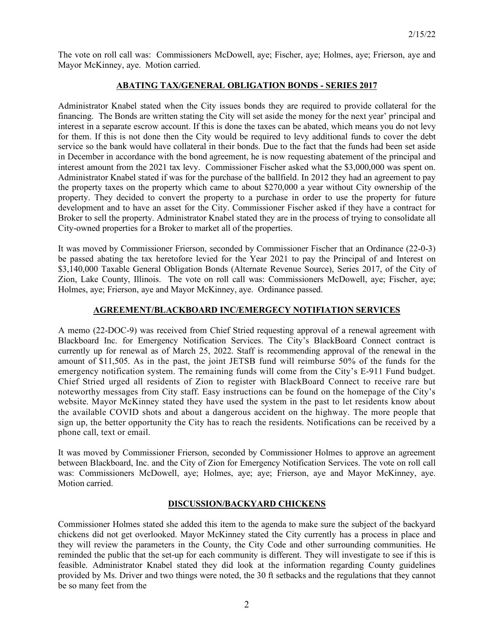The vote on roll call was: Commissioners McDowell, aye; Fischer, aye; Holmes, aye; Frierson, aye and Mayor McKinney, aye. Motion carried.

## **ABATING TAX/GENERAL OBLIGATION BONDS - SERIES 2017**

Administrator Knabel stated when the City issues bonds they are required to provide collateral for the financing. The Bonds are written stating the City will set aside the money for the next year' principal and interest in a separate escrow account. If this is done the taxes can be abated, which means you do not levy for them. If this is not done then the City would be required to levy additional funds to cover the debt service so the bank would have collateral in their bonds. Due to the fact that the funds had been set aside in December in accordance with the bond agreement, he is now requesting abatement of the principal and interest amount from the 2021 tax levy. Commissioner Fischer asked what the \$3,000,000 was spent on. Administrator Knabel stated if was for the purchase of the ballfield. In 2012 they had an agreement to pay the property taxes on the property which came to about \$270,000 a year without City ownership of the property. They decided to convert the property to a purchase in order to use the property for future development and to have an asset for the City. Commissioner Fischer asked if they have a contract for Broker to sell the property. Administrator Knabel stated they are in the process of trying to consolidate all City-owned properties for a Broker to market all of the properties.

It was moved by Commissioner Frierson, seconded by Commissioner Fischer that an Ordinance (22-0-3) be passed abating the tax heretofore levied for the Year 2021 to pay the Principal of and Interest on \$3,140,000 Taxable General Obligation Bonds (Alternate Revenue Source), Series 2017, of the City of Zion, Lake County, Illinois. The vote on roll call was: Commissioners McDowell, aye; Fischer, aye; Holmes, aye; Frierson, aye and Mayor McKinney, aye. Ordinance passed.

## **AGREEMENT/BLACKBOARD INC/EMERGECY NOTIFIATION SERVICES**

A memo (22-DOC-9) was received from Chief Stried requesting approval of a renewal agreement with Blackboard Inc. for Emergency Notification Services. The City's BlackBoard Connect contract is currently up for renewal as of March 25, 2022. Staff is recommending approval of the renewal in the amount of \$11,505. As in the past, the joint JETSB fund will reimburse 50% of the funds for the emergency notification system. The remaining funds will come from the City's E-911 Fund budget. Chief Stried urged all residents of Zion to register with BlackBoard Connect to receive rare but noteworthy messages from City staff. Easy instructions can be found on the homepage of the City's website. Mayor McKinney stated they have used the system in the past to let residents know about the available COVID shots and about a dangerous accident on the highway. The more people that sign up, the better opportunity the City has to reach the residents. Notifications can be received by a phone call, text or email.

It was moved by Commissioner Frierson, seconded by Commissioner Holmes to approve an agreement between Blackboard, Inc. and the City of Zion for Emergency Notification Services. The vote on roll call was: Commissioners McDowell, aye; Holmes, aye; aye; Frierson, aye and Mayor McKinney, aye. Motion carried.

# **DISCUSSION/BACKYARD CHICKENS**

Commissioner Holmes stated she added this item to the agenda to make sure the subject of the backyard chickens did not get overlooked. Mayor McKinney stated the City currently has a process in place and they will review the parameters in the County, the City Code and other surrounding communities. He reminded the public that the set-up for each community is different. They will investigate to see if this is feasible. Administrator Knabel stated they did look at the information regarding County guidelines provided by Ms. Driver and two things were noted, the 30 ft setbacks and the regulations that they cannot be so many feet from the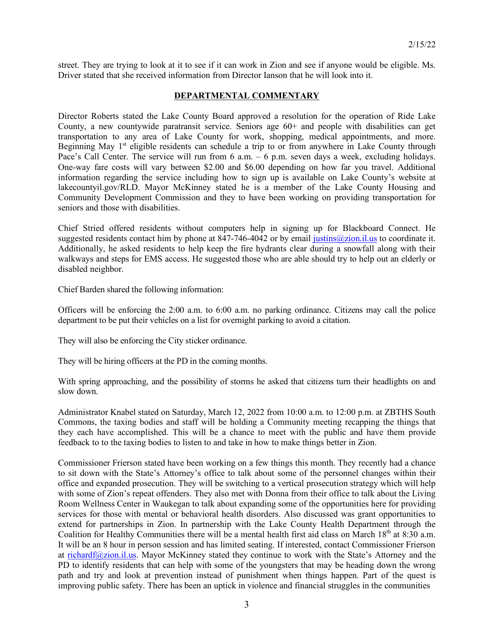street. They are trying to look at it to see if it can work in Zion and see if anyone would be eligible. Ms. Driver stated that she received information from Director Ianson that he will look into it.

### **DEPARTMENTAL COMMENTARY**

Director Roberts stated the Lake County Board approved a resolution for the operation of Ride Lake County, a new countywide paratransit service. Seniors age 60+ and people with disabilities can get transportation to any area of Lake County for work, shopping, medical appointments, and more. Beginning May 1<sup>st</sup> eligible residents can schedule a trip to or from anywhere in Lake County through Pace's Call Center. The service will run from 6 a.m. – 6 p.m. seven days a week, excluding holidays. One-way fare costs will vary between \$2.00 and \$6.00 depending on how far you travel. Additional information regarding the service including how to sign up is available on Lake County's website at lakecountyil.gov/RLD. Mayor McKinney stated he is a member of the Lake County Housing and Community Development Commission and they to have been working on providing transportation for seniors and those with disabilities.

Chief Stried offered residents without computers help in signing up for Blackboard Connect. He suggested residents contact him by phone at 847-746-4042 or by email [justins@zion.il.us](mailto:justins@zion.il.us) to coordinate it. Additionally, he asked residents to help keep the fire hydrants clear during a snowfall along with their walkways and steps for EMS access. He suggested those who are able should try to help out an elderly or disabled neighbor.

Chief Barden shared the following information:

Officers will be enforcing the 2:00 a.m. to 6:00 a.m. no parking ordinance. Citizens may call the police department to be put their vehicles on a list for overnight parking to avoid a citation.

They will also be enforcing the City sticker ordinance.

They will be hiring officers at the PD in the coming months.

With spring approaching, and the possibility of storms he asked that citizens turn their headlights on and slow down.

Administrator Knabel stated on Saturday, March 12, 2022 from 10:00 a.m. to 12:00 p.m. at ZBTHS South Commons, the taxing bodies and staff will be holding a Community meeting recapping the things that they each have accomplished. This will be a chance to meet with the public and have them provide feedback to to the taxing bodies to listen to and take in how to make things better in Zion.

Commissioner Frierson stated have been working on a few things this month. They recently had a chance to sit down with the State's Attorney's office to talk about some of the personnel changes within their office and expanded prosecution. They will be switching to a vertical prosecution strategy which will help with some of Zion's repeat offenders. They also met with Donna from their office to talk about the Living Room Wellness Center in Waukegan to talk about expanding some of the opportunities here for providing services for those with mental or behavioral health disorders. Also discussed was grant opportunities to extend for partnerships in Zion. In partnership with the Lake County Health Department through the Coalition for Healthy Communities there will be a mental health first aid class on March 18<sup>th</sup> at 8:30 a.m. It will be an 8 hour in person session and has limited seating. If interested, contact Commissioner Frierson at [richardf@zion.il.us.](mailto:richardf@zion.il.us) Mayor McKinney stated they continue to work with the State's Attorney and the PD to identify residents that can help with some of the youngsters that may be heading down the wrong path and try and look at prevention instead of punishment when things happen. Part of the quest is improving public safety. There has been an uptick in violence and financial struggles in the communities